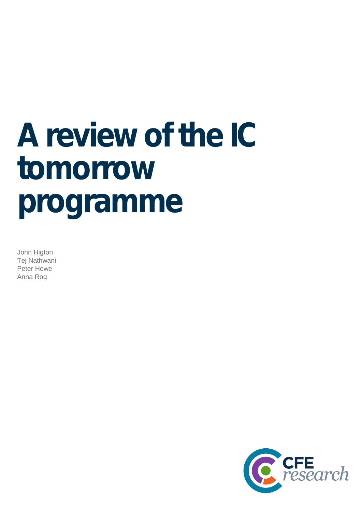# **A review of the IC tomorrow programme**

John Higton Tej Nathwani Peter Howe Anna Rog

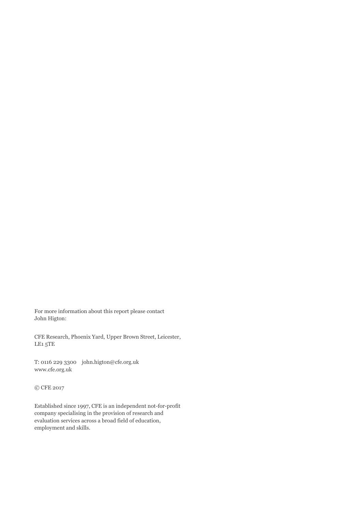For more information about this report please contact John Higton:

CFE Research, Phoenix Yard, Upper Brown Street, Leicester, LE1 5TE

T: 0116 229 3300 john.higton@cfe.org.uk www.cfe.org.uk

© CFE 2017

Established since 1997, CFE is an independent not-for-profit company specialising in the provision of research and evaluation services across a broad field of education, employment and skills.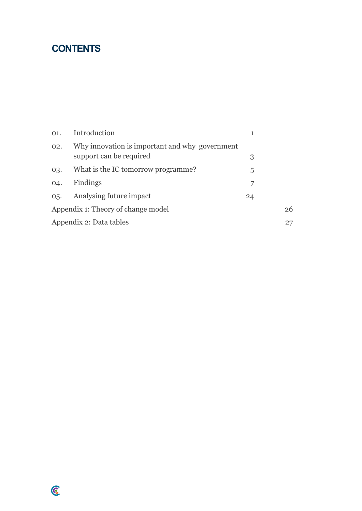# **CONTENTS**

| O1.                                | Introduction                                                              | 1  |  |  |
|------------------------------------|---------------------------------------------------------------------------|----|--|--|
| 02.                                | Why innovation is important and why government<br>support can be required | 3  |  |  |
| 03.                                | What is the IC tomorrow programme?                                        | 5  |  |  |
| 04.                                | Findings                                                                  |    |  |  |
|                                    | 05. Analysing future impact                                               | 24 |  |  |
| Appendix 1: Theory of change model | 26                                                                        |    |  |  |
| Appendix 2: Data tables            |                                                                           |    |  |  |

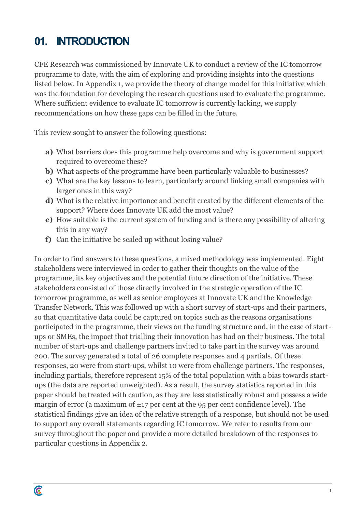# **01. INTRODUCTION**

C

CFE Research was commissioned by Innovate UK to conduct a review of the IC tomorrow programme to date, with the aim of exploring and providing insights into the questions listed below. In Appendix 1, we provide the theory of change model for this initiative which was the foundation for developing the research questions used to evaluate the programme. Where sufficient evidence to evaluate IC tomorrow is currently lacking, we supply recommendations on how these gaps can be filled in the future.

This review sought to answer the following questions:

- **a)** What barriers does this programme help overcome and why is government support required to overcome these?
- **b**) What aspects of the programme have been particularly valuable to businesses?
- **c)** What are the key lessons to learn, particularly around linking small companies with larger ones in this way?
- **d)** What is the relative importance and benefit created by the different elements of the support? Where does Innovate UK add the most value?
- **e)** How suitable is the current system of funding and is there any possibility of altering this in any way?
- **f)** Can the initiative be scaled up without losing value?

In order to find answers to these questions, a mixed methodology was implemented. Eight stakeholders were interviewed in order to gather their thoughts on the value of the programme, its key objectives and the potential future direction of the initiative. These stakeholders consisted of those directly involved in the strategic operation of the IC tomorrow programme, as well as senior employees at Innovate UK and the Knowledge Transfer Network. This was followed up with a short survey of start-ups and their partners, so that quantitative data could be captured on topics such as the reasons organisations participated in the programme, their views on the funding structure and, in the case of start ups or SMEs, the impact that trialling their innovation has had on their business. The total number of start-ups and challenge partners invited to take part in the survey was around 200. The survey generated a total of 26 complete responses and 4 partials. Of these responses, 20 were from start-ups, whilst 10 were from challenge partners. The responses, including partials, therefore represent 15% of the total population with a bias towards start ups (the data are reported unweighted). As a result, the survey statistics reported in this paper should be treated with caution, as they are less statistically robust and possess a wide margin of error (a maximum of  $\pm$ 17 per cent at the 95 per cent confidence level). The statistical findings give an idea of the relative strength of a response, but should not be used to support any overall statements regarding IC tomorrow. We refer to results from our survey throughout the paper and provide a more detailed breakdown of the responses to particular questions in Appendix 2.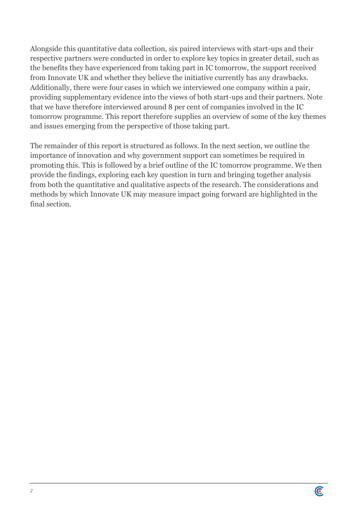Alongside this quantitative data collection, six paired interviews with start-ups and their respective partners were conducted in order to explore key topics in greater detail, such as the benefits they have experienced from taking part in IC tomorrow, the support received from Innovate UK and whether they believe the initiative currently has any drawbacks. Additionally, there were four cases in which we interviewed one company within a pair, providing supplementary evidence into the views of both start-ups and their partners. Note that we have therefore interviewed around 8 per cent of companies involved in the IC tomorrow programme. This report therefore supplies an overview of some of the key themes and issues emerging from the perspective of those taking part.

The remainder of this report is structured as follows. In the next section, we outline the importance of innovation and why government support can sometimes be required in promoting this. This is followed by a brief outline of the IC tomorrow programme. We then provide the findings, exploring each key question in turn and bringing together analysis from both the quantitative and qualitative aspects of the research. The considerations and methods by which Innovate UK may measure impact going forward are highlighted in the final section.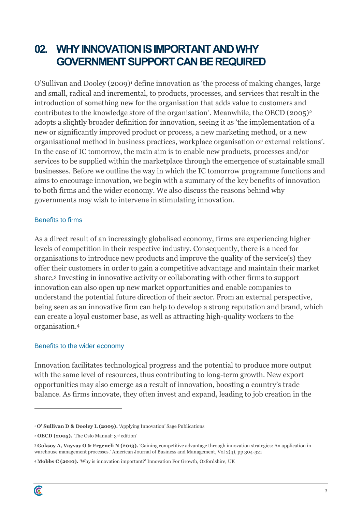# **02. WHY INNOVATION IS IMPORTANT ANDWHY GOVERNMENT SUPPORT CAN BE REQUIRED**

O'Sullivan and Dooley (2009)<sup>1</sup> define innovation as 'the process of making changes, large and small, radical and incremental, to products, processes, and services that result in the introduction of something new for the organisation that adds value to customers and contributes to the knowledge store of the organisation'. Meanwhile, the OECD (2005)<sup>2</sup> adopts a slightly broader definition for innovation, seeing it as 'the implementation of a new or significantly improved product or process, a new marketing method, or a new organisational method in business practices, workplace organisation or external relations'. In the case of IC tomorrow, the main aim is to enable new products, processes and/or services to be supplied within the marketplace through the emergence of sustainable small businesses. Before we outline the way in which the IC tomorrow programme functions and aims to encourage innovation, we begin with a summary of the key benefits of innovation to both firms and the wider economy. We also discuss the reasons behind why governments may wish to intervene in stimulating innovation.

## Benefits to firms

As a direct result of an increasingly globalised economy, firms are experiencing higher levels of competition in their respective industry. Consequently, there is a need for organisations to introduce new products and improve the quality of the service(s) they offer their customers in order to gain a competitive advantage and maintain their market share.<sup>3</sup> Investing in innovative activity or collaborating with other firms to support innovation can also open up new market opportunities and enable companies to understand the potential future direction of their sector. From an external perspective, being seen as an innovative firm can help to develop a strong reputation and brand, which can create a loyal customer base, as well as attracting high-quality workers to the organisation.<sup>4</sup>

## Benefits to the wider economy

Innovation facilitates technological progress and the potential to produce more output with the same level of resources, thus contributing to long-term growth. New export opportunities may also emerge as a result of innovation, boosting a country's trade balance. As firms innovate, they often invest and expand, leading to job creation in the

<sup>1</sup> **O' Sullivan D & Dooley L (2009).** 'Applying Innovation' Sage Publications

<sup>2</sup> **OECD (2005).** 'The Oslo Manual: 3rd edition'

<sup>3</sup> **Goksoy A, Vayvay O & Ergeneli N (2013).** 'Gaining competitive advantage through innovation strategies: An application in warehouse management processes.' American Journal of Business and Management, Vol 2(4), pp 304-321

<sup>4</sup> **Mobbs C (2010).** 'Why is innovation important?' Innovation For Growth, Oxfordshire, UK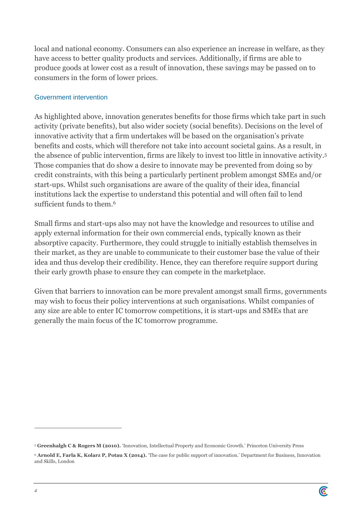local and national economy. Consumers can also experience an increase in welfare, as they have access to better quality products and services. Additionally, if firms are able to produce goods at lower cost as a result of innovation, these savings may be passed on to consumers in the form of lower prices.

## Government intervention

As highlighted above, innovation generates benefits for those firms which take part in such activity (private benefits), but also wider society (social benefits). Decisions on the level of innovative activity that a firm undertakes will be based on the organisation's private benefits and costs, which will therefore not take into account societal gains. As a result, in the absence of public intervention, firms are likely to invest too little in innovative activity.<sup>5</sup> Those companies that do show a desire to innovate may be prevented from doing so by credit constraints, with this being a particularly pertinent problem amongst SMEs and/or start-ups. Whilst such organisations are aware of the quality of their idea, financial institutions lack the expertise to understand this potential and will often fail to lend sufficient funds to them.<sup>6</sup>

Small firms and start-ups also may not have the knowledge and resources to utilise and apply external information for their own commercial ends, typically known as their absorptive capacity. Furthermore, they could struggle to initially establish themselves in their market, as they are unable to communicate to their customer base the value of their idea and thus develop their credibility. Hence, they can therefore require support during their early growth phase to ensure they can compete in the marketplace.

Given that barriers to innovation can be more prevalent amongst small firms, governments may wish to focus their policy interventions at such organisations. Whilst companies of any size are able to enter IC tomorrow competitions, it is start-ups and SMEs that are generally the main focus of the IC tomorrow programme.

<sup>5</sup> **Greenhalgh C & Rogers M (2010).** 'Innovation, Intellectual Property and Economic Growth.' Princeton University Press

<sup>6</sup> **Arnold E, Farla K, Kolarz P, Potau X (2014).** 'The case for public support of innovation.' Department for Business, Innovation and Skills, London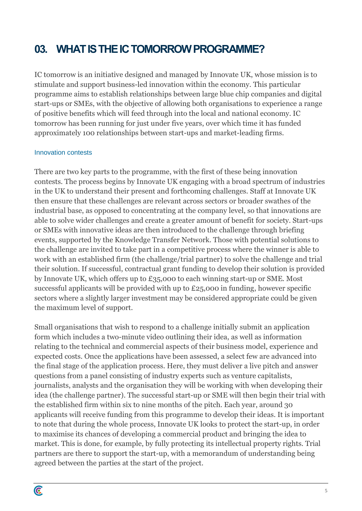# **03. WHAT IS THE IC TOMORROW PROGRAMME?**

IC tomorrow is an initiative designed and managed by Innovate UK, whose mission is to stimulate and support business-led innovation within the economy. This particular programme aims to establish relationships between large blue chip companies and digital start-ups or SMEs, with the objective of allowing both organisations to experience a range of positive benefits which will feed through into the local and national economy. IC tomorrow has been running for just under five years, over which time it has funded approximately 100 relationships between start-ups and market-leading firms.

#### Innovation contests

There are two key parts to the programme, with the first of these being innovation contests. The process begins by Innovate UK engaging with a broad spectrum of industries in the UK to understand their present and forthcoming challenges. Staff at Innovate UK then ensure that these challenges are relevant across sectors or broader swathes of the industrial base, as opposed to concentrating at the company level, so that innovations are able to solve wider challenges and create a greater amount of benefit for society. Start-ups or SMEs with innovative ideas are then introduced to the challenge through briefing events, supported by the Knowledge Transfer Network. Those with potential solutions to the challenge are invited to take part in a competitive process where the winner is able to work with an established firm (the challenge/trial partner) to solve the challenge and trial their solution. If successful, contractual grant funding to develop their solution is provided by Innovate UK, which offers up to £35,000 to each winning start-up or SME. Most successful applicants will be provided with up to £25,000 in funding, however specific sectors where a slightly larger investment may be considered appropriate could be given the maximum level of support.

Small organisations that wish to respond to a challenge initially submit an application form which includes a two-minute video outlining their idea, as well as information relating to the technical and commercial aspects of their business model, experience and expected costs. Once the applications have been assessed, a select few are advanced into the final stage of the application process. Here, they must deliver a live pitch and answer questions from a panel consisting of industry experts such as venture capitalists, journalists, analysts and the organisation they will be working with when developing their idea (the challenge partner). The successful start-up or SME will then begin their trial with the established firm within six to nine months of the pitch. Each year, around 30 applicants will receive funding from this programme to develop their ideas. It is important to note that during the whole process, Innovate UK looks to protect the start-up, in order to maximise its chances of developing a commercial product and bringing the idea to market. This is done, for example, by fully protecting its intellectual property rights. Trial partners are there to support the start-up, with a memorandum of understanding being agreed between the parties at the start of the project.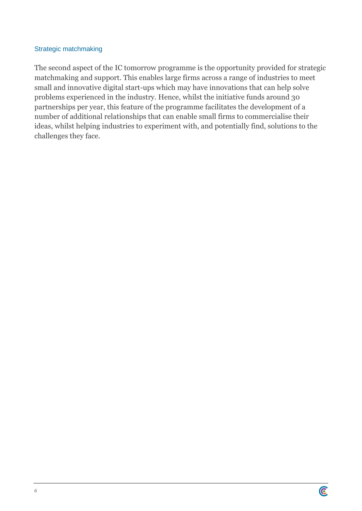## Strategic matchmaking

The second aspect of the IC tomorrow programme is the opportunity provided for strategic matchmaking and support. This enables large firms across a range of industries to meet small and innovative digital start-ups which may have innovations that can help solve problems experienced in the industry. Hence, whilst the initiative funds around 30 partnerships per year, this feature of the programme facilitates the development of a number of additional relationships that can enable small firms to commercialise their ideas, whilst helping industries to experiment with, and potentially find, solutions to the challenges they face.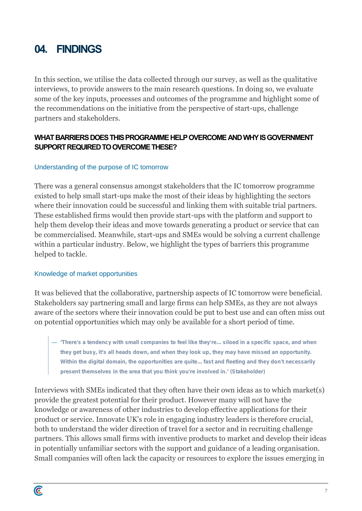# **04. FINDINGS**

In this section, we utilise the data collected through our survey, as well as the qualitative interviews, to provide answers to the main research questions. In doing so, we evaluate some of the key inputs, processes and outcomes of the programme and highlight some of the recommendations on the initiative from the perspective of start-ups, challenge partners and stakeholders.

## **WHAT BARRIERS DOES THIS PROGRAMME HELP OVERCOMEAND WHY IS GOVERNMENT SUPPORT REQUIRED TO OVERCOME THESE?**

## Understanding of the purpose of IC tomorrow

There was a general consensus amongst stakeholders that the IC tomorrow programme existed to help small start-ups make the most of their ideas by highlighting the sectors where their innovation could be successful and linking them with suitable trial partners. These established firms would then provide start-ups with the platform and support to help them develop their ideas and move towards generating a product or service that can be commercialised. Meanwhile, start-ups and SMEs would be solving a current challenge within a particular industry. Below, we highlight the types of barriers this programme helped to tackle.

## Knowledge of market opportunities

It was believed that the collaborative, partnership aspects of IC tomorrow were beneficial. Stakeholders say partnering small and large firms can help SMEs, as they are not always aware of the sectors where their innovation could be put to best use and can often miss out on potential opportunities which may only be available for a short period of time.

— **'There's a tendency with small companies to feel like they're... siloed in a specific space, and when they get busy, it's all heads down, and when they look up, they may have missed an opportunity. Within the digital domain, the opportunities are quite... fast and fleeting and they don't necessarily present themselves in the area that you think you're involved in.' (Stakeholder)**

Interviews with SMEs indicated that they often have their own ideas as to which market(s) provide the greatest potential for their product. However many will not have the knowledge or awareness of other industries to develop effective applications for their product or service. Innovate UK's role in engaging industry leaders is therefore crucial, both to understand the wider direction of travel for a sector and in recruiting challenge partners. This allows small firms with inventive products to market and develop their ideas in potentially unfamiliar sectors with the support and guidance of a leading organisation. Small companies will often lack the capacity or resources to explore the issues emerging in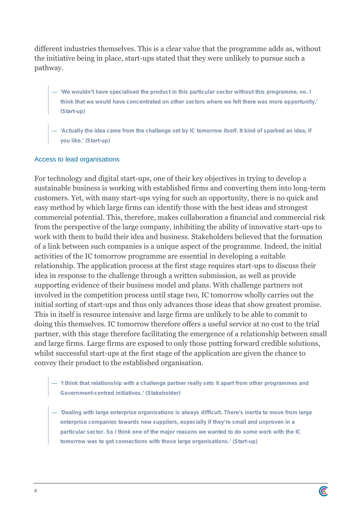different industries themselves. This is a clear value that the programme adds as, without the initiative being in place, start-ups stated that they were unlikely to pursue such a pathway.

- **'We wouldn't have specialised the product in this particular sector without this programme, no. I think that we would have concentrated on other sectors where we felt there was more opportunity.' (Start-up)**
- **'Actually the idea came from the challenge set by IC tomorrow itself. It kind of sparked an idea, if you like.' (Start-up)**

## Access to lead organisations

For technology and digital start-ups, one of their key objectives in trying to develop a sustainable business is working with established firms and converting them into long-term customers. Yet, with many start-ups vying for such an opportunity, there is no quick and easy method by which large firms can identify those with the best ideas and strongest commercial potential. This, therefore, makes collaboration a financial and commercial risk from the perspective of the large company, inhibiting the ability of innovative start-ups to work with them to build their idea and business. Stakeholders believed that the formation of a link between such companies is a unique aspect of the programme. Indeed, the initial activities of the IC tomorrow programme are essential in developing a suitable relationship. The application process at the first stage requires start-ups to discuss their idea in response to the challenge through a written submission, as well as provide supporting evidence of their business model and plans. With challenge partners not involved in the competition process until stage two, IC tomorrow wholly carries out the initial sorting of start-ups and thus only advances those ideas that show greatest promise. This in itself is resource intensive and large firms are unlikely to be able to commit to doing this themselves. IC tomorrow therefore offers a useful service at no cost to the trial partner, with this stage therefore facilitating the emergence of a relationship between small and large firms. Large firms are exposed to only those putting forward credible solutions, whilst successful start-ups at the first stage of the application are given the chance to convey their product to the established organisation.

- **'I think that relationship with a challenge partner really sets it apart from other programmes and Government-centred initiatives.' (Stakeholder)**
- **'Dealing with large enterprise organisations is always difficult. There's inertia to move from large enterprise companies towards new suppliers, especially if they're small and unproven in a particular sector. So I think one of the major reasons we wanted to do some work with the IC tomorrow was to get connections with those large organisations.' (Start-up)**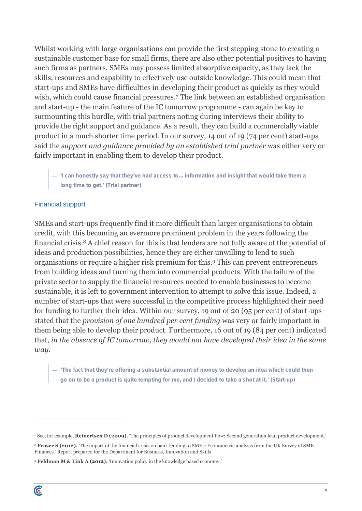Whilst working with large organisations can provide the first stepping stone to creating a sustainable customer base for small firms, there are also other potential positives to having such firms as partners. SMEs may possess limited absorptive capacity, as they lack the skills, resources and capability to effectively use outside knowledge. This could mean that start-ups and SMEs have difficulties in developing their product as quickly as they would wish, which could cause financial pressures.<sup>7</sup> The link between an established organisation and start-up - the main feature of the IC tomorrow programme - can again be key to surmounting this hurdle, with trial partners noting during interviews their ability to provide the right support and guidance. As a result, they can build a commercially viable product in a much shorter time period. In our survey, 14 out of 19 (74 per cent) start-ups said the *support and guidance provided by an established trial partner* was either very or fairly important in enabling them to develop their product.

— **'I can honestly say that they've had access to... information and insight that would take them a long time to get.' (Trial partner)**

#### Financial support

SMEs and start-ups frequently find it more difficult than larger organisations to obtain credit, with this becoming an evermore prominent problem in the years following the financial crisis.<sup>8</sup> A chief reason for this is that lenders are not fully aware of the potential of ideas and production possibilities, hence they are either unwilling to lend to such organisations or require a higher risk premium for this.<sup>9</sup> This can prevent entrepreneurs from building ideas and turning them into commercial products. With the failure of the private sector to supply the financial resources needed to enable businesses to become sustainable, it is left to government intervention to attempt to solve this issue. Indeed, a number of start-ups that were successful in the competitive process highlighted their need for funding to further their idea. Within our survey, 19 out of 20 (95 per cent) of start-ups stated that the *provision of one hundred per cent funding* was very or fairly important in them being able to develop their product. Furthermore, 16 out of 19 (84 per cent) indicated that, *in the absence of IC tomorrow, they would not have developed their idea in the same way*.

— **'The fact that they're offering a substantial amount of money to develop an idea which could then go on to be a product is quite tempting for me, and I decided to take a shot at it.' (Start-up)**

<sup>7</sup> See, for example, **Reinertsen D (2009).** 'The principles of product development flow: Second generation lean product development.'

<sup>8</sup> **Fraser S (2012).** 'The impact of the financial crisis on bank lending to SMEs: Econometric analysis from the UK Survey of SME Finances.' Report prepared for the Department for Business, Innovation and Skills

<sup>9</sup> **Feldman M & Link A (2012).** 'Innovation policy in the knowledge based economy.'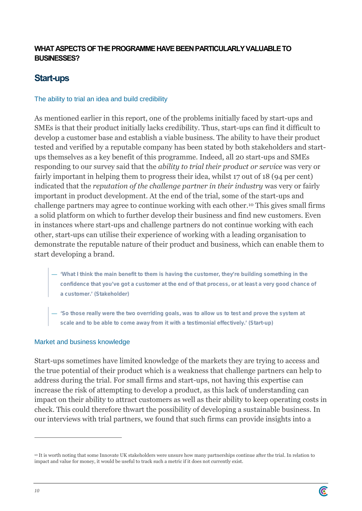## **WHAT ASPECTS OF THEPROGRAMME HAVE BEENPARTICULARLY VALUABLE TO BUSINESSES?**

## **Start-ups**

## The ability to trial an idea and build credibility

As mentioned earlier in this report, one of the problems initially faced by start-ups and SMEs is that their product initially lacks credibility. Thus, start-ups can find it difficult to develop a customer base and establish a viable business. The ability to have their product tested and verified by a reputable company has been stated by both stakeholders and start ups themselves as a key benefit of this programme. Indeed, all 20 start-ups and SMEs responding to our survey said that the *ability to trial their product or service* was very or fairly important in helping them to progress their idea, whilst 17 out of 18 (94 per cent) indicated that the *reputation of the challenge partner in their industry* was very or fairly important in product development. At the end of the trial, some of the start-ups and challenge partners may agree to continue working with each other.<sup>10</sup> This gives small firms a solid platform on which to further develop their business and find new customers. Even in instances where start-ups and challenge partners do not continue working with each other, start-ups can utilise their experience of working with a leading organisation to demonstrate the reputable nature of their product and business, which can enable them to start developing a brand.

- **'What I think the main benefit to them is having the customer, they're building something in the confidence that you've got a customer at the end of that process, or at least a very good chance of a customer.' (Stakeholder)**
- **'So those really were the two overriding goals, was to allow us to test and prove the system at scale and to be able to come away from it with a testimonial effectively.' (Start-up)**

#### Market and business knowledge

Start-ups sometimes have limited knowledge of the markets they are trying to access and the true potential of their product which is a weakness that challenge partners can help to address during the trial. For small firms and start-ups, not having this expertise can increase the risk of attempting to develop a product, as this lack of understanding can impact on their ability to attract customers as well as their ability to keep operating costs in check. This could therefore thwart the possibility of developing a sustainable business. In our interviews with trial partners, we found that such firms can provide insights into a

<sup>10</sup> It is worth noting that some Innovate UK stakeholders were unsure how many partnerships continue after the trial. In relation to impact and value for money, it would be useful to track such a metric if it does not currently exist.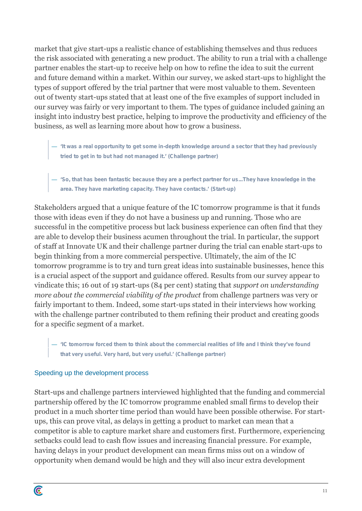market that give start-ups a realistic chance of establishing themselves and thus reduces the risk associated with generating a new product. The ability to run a trial with a challenge partner enables the start-up to receive help on how to refine the idea to suit the current and future demand within a market. Within our survey, we asked start-ups to highlight the types of support offered by the trial partner that were most valuable to them. Seventeen out of twenty start-ups stated that at least one of the five examples of support included in our survey was fairly or very important to them. The types of guidance included gaining an insight into industry best practice, helping to improve the productivity and efficiency of the business, as well as learning more about how to grow a business.

- **'It was a real opportunity to get some in-depth knowledge around a sector that they had previously tried to get in to but had not managed it.' (Challenge partner)**
- **'So, that has been fantastic because they are a perfect partner for us...They have knowledge in the area. They have marketing capacity. They have contacts.' (Start-up)**

Stakeholders argued that a unique feature of the IC tomorrow programme is that it funds those with ideas even if they do not have a business up and running. Those who are successful in the competitive process but lack business experience can often find that they are able to develop their business acumen throughout the trial. In particular, the support of staff at Innovate UK and their challenge partner during the trial can enable start-ups to begin thinking from a more commercial perspective. Ultimately, the aim of the IC tomorrow programme is to try and turn great ideas into sustainable businesses, hence this is a crucial aspect of the support and guidance offered. Results from our survey appear to vindicate this; 16 out of 19 start-ups (84 per cent) stating that *support on understanding more about the commercial viability of the product* from challenge partners was very or fairly important to them. Indeed, some start-ups stated in their interviews how working with the challenge partner contributed to them refining their product and creating goods for a specific segment of a market.

— **'IC tomorrow forced them to think about the commercial realities of life and I think they've found that very useful. Very hard, but very useful.' (Challenge partner)**

## Speeding up the development process

Start-ups and challenge partners interviewed highlighted that the funding and commercial partnership offered by the IC tomorrow programme enabled small firms to develop their product in a much shorter time period than would have been possible otherwise. For start ups, this can prove vital, as delays in getting a product to market can mean that a competitor is able to capture market share and customers first. Furthermore, experiencing setbacks could lead to cash flow issues and increasing financial pressure. For example, having delays in your product development can mean firms miss out on a window of opportunity when demand would be high and they will also incur extra development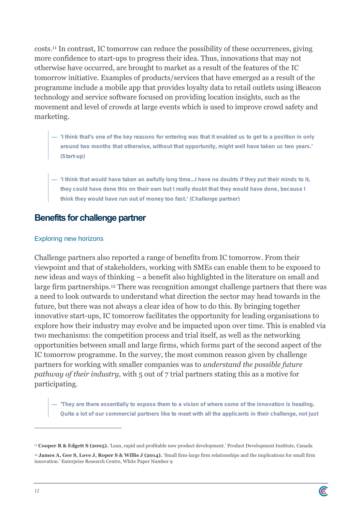costs.<sup>11</sup> In contrast, IC tomorrow can reduce the possibility of these occurrences, giving more confidence to start-ups to progress their idea. Thus, innovations that may not otherwise have occurred, are brought to market as a result of the features of the IC tomorrow initiative. Examples of products/services that have emerged as a result of the programme include a mobile app that provides loyalty data to retail outlets using iBeacon technology and service software focused on providing location insights, such as the movement and level of crowds at large events which is used to improve crowd safety and marketing.

- **'I think that's one of the key reasons for entering was that it enabled us to get to a position in only around two months that otherwise, without that opportunity, might well have taken us two years.' (Start-up)**
- **'I think that would have taken an awfully long time...I have no doubts if they put their minds to it, they could have done this on their own but I really doubt that they would have done, because I think they would have run out of money too fast.' (Challenge partner)**

## **Benefits for challenge partner**

## Exploring new horizons

Challenge partners also reported a range of benefits from IC tomorrow. From their viewpoint and that of stakeholders, working with SMEs can enable them to be exposed to new ideas and ways of thinking – a benefit also highlighted in the literature on small and large firm partnerships.<sup>12</sup> There was recognition amongst challenge partners that there was a need to look outwards to understand what direction the sector may head towards in the future, but there was not always a clear idea of how to do this. By bringing together innovative start-ups, IC tomorrow facilitates the opportunity for leading organisations to explore how their industry may evolve and be impacted upon over time. This is enabled via two mechanisms: the competition process and trial itself, as well as the networking opportunities between small and large firms, which forms part of the second aspect of the IC tomorrow programme. In the survey, the most common reason given by challenge partners for working with smaller companies was to *understand the possible future pathway of their industry*, with 5 out of 7 trial partners stating this as a motive for participating.

— **'They are there essentially to expose them to a vision of where some of the innovation is heading. Quite a lot of our commercial partners like to meet with all the applicants in their challenge, not just**



<sup>11</sup> **Cooper R & Edgett S (2005).** 'Lean, rapid and profitable new product development.' Product Development Institute, Canada

<sup>12</sup> **James A, Gee S, Love J, Roper S & Willis J (2014).** 'Small firm-large firm relationships and the implications for small firm innovation.' Enterprise Research Centre, White Paper Number 9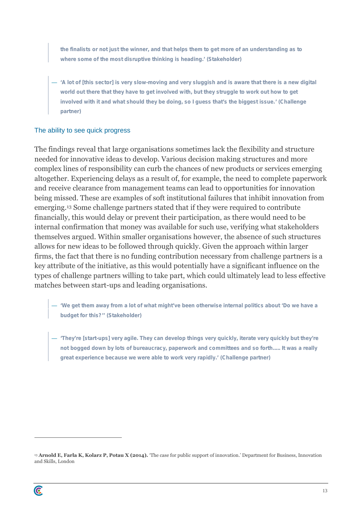**the finalists or not just the winner, and that helps them to get more of an understanding as to where some of the most disruptive thinking is heading.' (Stakeholder)**

— **'A lot of [this sector] is very slow-moving and very sluggish and is aware that there is a new digital world out there that they have to get involved with, but they struggle to work out how to get involved with it and what should they be doing, so I guess that's the biggest issue.' (Challenge partner)**

## The ability to see quick progress

The findings reveal that large organisations sometimes lack the flexibility and structure needed for innovative ideas to develop. Various decision making structures and more complex lines of responsibility can curb the chances of new products or services emerging altogether. Experiencing delays as a result of, for example, the need to complete paperwork and receive clearance from management teams can lead to opportunities for innovation being missed. These are examples of soft institutional failures that inhibit innovation from emerging.<sup>13</sup> Some challenge partners stated that if they were required to contribute financially, this would delay or prevent their participation, as there would need to be internal confirmation that money was available for such use, verifying what stakeholders themselves argued. Within smaller organisations however, the absence of such structures allows for new ideas to be followed through quickly. Given the approach within larger firms, the fact that there is no funding contribution necessary from challenge partners is a key attribute of the initiative, as this would potentially have a significant influence on the types of challenge partners willing to take part, which could ultimately lead to less effective matches between start-ups and leading organisations.

- **'We get them away from a lot of what might've been otherwise internal politics about 'Do we have a budget for this?'' (Stakeholder)**
- **'They're [start-ups] very agile. They can develop things very quickly, iterate very quickly but they're not bogged down by lots of bureaucracy, paperwork and committees and so forth..... It was a really great experience because we were able to work very rapidly.' (Challenge partner)**

<sup>13</sup> **Arnold E, Farla K, Kolarz P, Potau X (2014).** 'The case for public support of innovation.' Department for Business, Innovation and Skills, London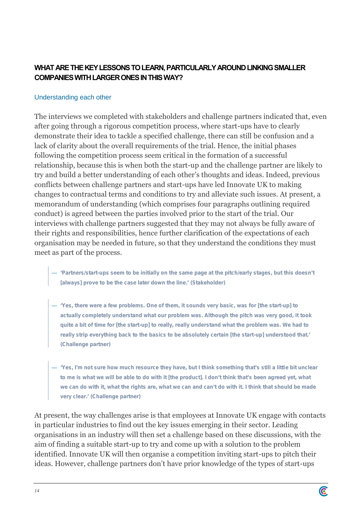## **WHAT ARE THE KEY LESSONS TO LEARN, PARTICULARLY AROUND LINKING SMALLER COMPANIES WITH LARGER ONES IN THIS WAY?**

## Understanding each other

The interviews we completed with stakeholders and challenge partners indicated that, even after going through a rigorous competition process, where start-ups have to clearly demonstrate their idea to tackle a specified challenge, there can still be confusion and a lack of clarity about the overall requirements of the trial. Hence, the initial phases following the competition process seem critical in the formation of a successful relationship, because this is when both the start-up and the challenge partner are likely to try and build a better understanding of each other's thoughts and ideas. Indeed, previous conflicts between challenge partners and start-ups have led Innovate UK to making changes to contractual terms and conditions to try and alleviate such issues. At present, a memorandum of understanding (which comprises four paragraphs outlining required conduct) is agreed between the parties involved prior to the start of the trial. Our interviews with challenge partners suggested that they may not always be fully aware of their rights and responsibilities, hence further clarification of the expectations of each organisation may be needed in future, so that they understand the conditions they must meet as part of the process.

- **'Partners/start-ups seem to be initially on the same page at the pitch/early stages, but this doesn't [always] prove to be the case later down the line.' (Stakeholder)**
- **'Yes, there were a few problems. One of them, it sounds very basic, was for [the start-up] to actually completely understand what our problem was. Although the pitch was very good, it took quite a bit of time for [the start-up] to really, really understand what the problem was. We had to really strip everything back to the basics to be absolutely certain [the start-up] understood that.' (Challenge partner)**
- **'Yes, I'm not sure how much resource they have, but I think something that's still a little bit unclear to me is what we will be able to do with it [the product]. I don't think that's been agreed yet, what we can do with it, what the rights are, what we can and can't do with it. I think that should be made very clear.' (Challenge partner)**

At present, the way challenges arise is that employees at Innovate UK engage with contacts in particular industries to find out the key issues emerging in their sector. Leading organisations in an industry will then set a challenge based on these discussions, with the aim of finding a suitable start-up to try and come up with a solution to the problem identified. Innovate UK will then organise a competition inviting start-ups to pitch their ideas. However, challenge partners don't have prior knowledge of the types of start-ups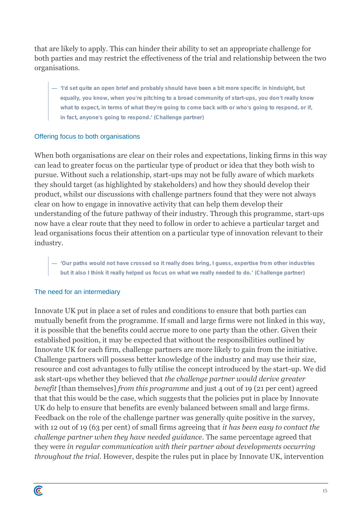that are likely to apply. This can hinder their ability to set an appropriate challenge for both parties and may restrict the effectiveness of the trial and relationship between the two organisations.

— **'I'd set quite an open brief and probably should have been a bit more specific in hindsight, but equally, you know, when you're pitching to a broad community of start-ups, you don't really know what to expect, in terms of what they're going to come back with or who's going to respond, or if, in fact, anyone's going to respond.' (Challenge partner)**

## Offering focus to both organisations

When both organisations are clear on their roles and expectations, linking firms in this way can lead to greater focus on the particular type of product or idea that they both wish to pursue. Without such a relationship, start-ups may not be fully aware of which markets they should target (as highlighted by stakeholders) and how they should develop their product, whilst our discussions with challenge partners found that they were not always clear on how to engage in innovative activity that can help them develop their understanding of the future pathway of their industry. Through this programme, start-ups now have a clear route that they need to follow in order to achieve a particular target and lead organisations focus their attention on a particular type of innovation relevant to their industry.

— **'Our paths would not have crossed so it really does bring, I guess, expertise from other industries but it also I think it really helped us focus on what we really needed to do.' (Challenge partner)**

## The need for an intermediary

C

Innovate UK put in place a set of rules and conditions to ensure that both parties can mutually benefit from the programme. If small and large firms were not linked in this way, it is possible that the benefits could accrue more to one party than the other. Given their established position, it may be expected that without the responsibilities outlined by Innovate UK for each firm, challenge partners are more likely to gain from the initiative. Challenge partners will possess better knowledge of the industry and may use their size, resource and cost advantages to fully utilise the concept introduced by the start-up. We did ask start-ups whether they believed that *the challenge partner would derive greater benefit* [than themselves] *from this programme* and just 4 out of 19 (21 per cent) agreed that that this would be the case, which suggests that the policies put in place by Innovate UK do help to ensure that benefits are evenly balanced between small and large firms. Feedback on the role of the challenge partner was generally quite positive in the survey, with 12 out of 19 (63 per cent) of small firms agreeing that *it has been easy to contact the challenge partner when they have needed guidance*. The same percentage agreed that they were *in regular communication with their partner about developments occurring throughout the trial*. However, despite the rules put in place by Innovate UK, intervention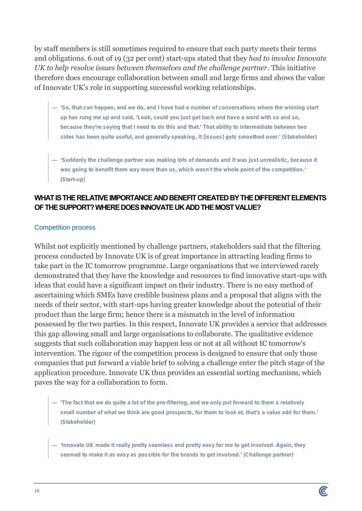by staff members is still sometimes required to ensure that each party meets their terms and obligations. 6 out of 19 (32 per cent) start-ups stated that they *had to involve Innovate UK to help resolve issues between themselves and the challenge partner*. This initiative therefore does encourage collaboration between small and large firms and shows the value of Innovate UK's role in supporting successful working relationships.

- **'So, that can happen, and we do, and I have had a number of conversations where the winning start up has rung me up and said, 'Look, could you just get back and have a word with so and so, because they're saying that I need to do this and that.' That ability to intermediate between two sides has been quite useful, and generally speaking, it [issues] gets smoothed over.' (Stakeholder)**
- **'Suddenly the challenge partner was making lots of demands and it was just unrealistic, because it was going to benefit them way more than us, which wasn't the whole point of the competition.' (Start-up)**

## **WHAT IS THE RELATIVEIMPORTANCE AND BENEFIT CREATED BY THE DIFFERENT ELEMENTS OFTHE SUPPORT? WHERE DOES INNOVATE UK ADDTHE MOST VALUE?**

## Competition process

Whilst not explicitly mentioned by challenge partners, stakeholders said that the filtering process conducted by Innovate UK is of great importance in attracting leading firms to take part in the IC tomorrow programme. Large organisations that we interviewed rarely demonstrated that they have the knowledge and resources to find innovative start-ups with ideas that could have a significant impact on their industry. There is no easy method of ascertaining which SMEs have credible business plans and a proposal that aligns with the needs of their sector, with start-ups having greater knowledge about the potential of their product than the large firm; hence there is a mismatch in the level of information possessed by the two parties. In this respect, Innovate UK provides a service that addresses this gap allowing small and large organisations to collaborate. The qualitative evidence suggests that such collaboration may happen less or not at all without IC tomorrow's intervention. The rigour of the competition process is designed to ensure that only those companies that put forward a viable brief to solving a challenge enter the pitch stage of the application procedure. Innovate UK thus provides an essential sorting mechanism, which paves the way for a collaboration to form.

- **'The fact that we do quite a lot of the pre-filtering, and we only put forward to them a relatively small number of what we think are good prospects, for them to look at, that's a value add for them.' (Stakeholder)**
- **'Innovate UK made it really pretty seamless and pretty easy for me to get involved. Again, they seemed to make it as easy as possible for the brands to get involved.' (Challenge partner)**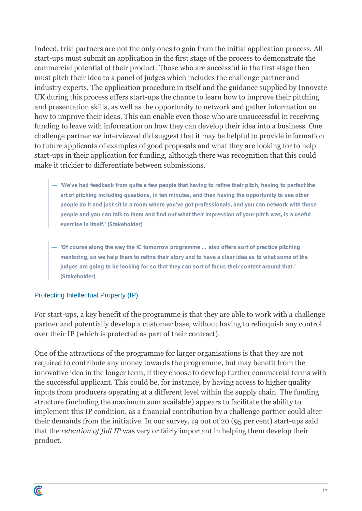Indeed, trial partners are not the only ones to gain from the initial application process. All start-ups must submit an application in the first stage of the process to demonstrate the commercial potential of their product. Those who are successful in the first stage then must pitch their idea to a panel of judges which includes the challenge partner and industry experts. The application procedure in itself and the guidance supplied by Innovate UK during this process offers start-ups the chance to learn how to improve their pitching and presentation skills, as well as the opportunity to network and gather information on how to improve their ideas. This can enable even those who are unsuccessful in receiving funding to leave with information on how they can develop their idea into a business. One challenge partner we interviewed did suggest that it may be helpful to provide information to future applicants of examples of good proposals and what they are looking for to help start-ups in their application for funding, although there was recognition that this could make it trickier to differentiate between submissions.

- **'We've had feedback from quite a few people that having to refine their pitch, having to perfect the art of pitching including questions, in ten minutes, and then having the opportunity to see other people do it and just sit in a room where you've got professionals, and you can network with those people and you can talk to them and find out what their impression of your pitch was, is a useful exercise in itself.' (Stakeholder)**
- **'Of course along the way the IC tomorrow programme … also offers sort of practice pitching mentoring, so we help them to refine their story and to have a clear idea as to what some of the judges are going to be looking for so that they can sort of focus their content around that.' (Stakeholder)**

## Protecting Intellectual Property (IP)

C

For start-ups, a key benefit of the programme is that they are able to work with a challenge partner and potentially develop a customer base, without having to relinquish any control over their IP (which is protected as part of their contract).

One of the attractions of the programme for larger organisations is that they are not required to contribute any money towards the programme, but may benefit from the innovative idea in the longer term, if they choose to develop further commercial terms with the successful applicant. This could be, for instance, by having access to higher quality inputs from producers operating at a different level within the supply chain. The funding structure (including the maximum sum available) appears to facilitate the ability to implement this IP condition, as a financial contribution by a challenge partner could alter their demands from the initiative. In our survey, 19 out of 20 (95 per cent) start-ups said that the *retention of full IP* was very or fairly important in helping them develop their product.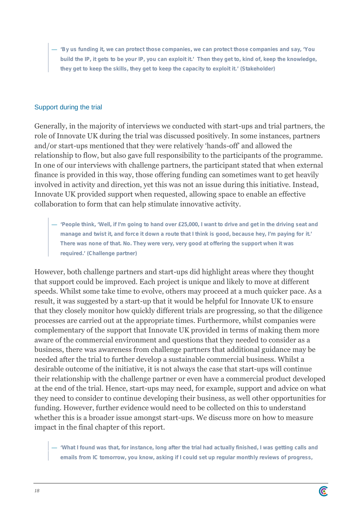— **'By us funding it, we can protect those companies, we can protect those companies and say, 'You build the IP, it gets to be your IP, you can exploit it.' Then they get to, kind of, keep the knowledge, they get to keep the skills, they get to keep the capacity to exploit it.' (Stakeholder)**

## Support during the trial

Generally, in the majority of interviews we conducted with start-ups and trial partners, the role of Innovate UK during the trial was discussed positively. In some instances, partners and/or start-ups mentioned that they were relatively 'hands-off' and allowed the relationship to flow, but also gave full responsibility to the participants of the programme. In one of our interviews with challenge partners, the participant stated that when external finance is provided in this way, those offering funding can sometimes want to get heavily involved in activity and direction, yet this was not an issue during this initiative. Instead, Innovate UK provided support when requested, allowing space to enable an effective collaboration to form that can help stimulate innovative activity.

— **'People think, 'Well, if I'm going to hand over £25,000, I want to drive and get in the driving seat and manage and twist it, and force it down a route that I think is good, because hey, I'm paying for it.' There was none of that. No. They were very, very good at offering the support when it was required.' (Challenge partner)**

However, both challenge partners and start-ups did highlight areas where they thought that support could be improved. Each project is unique and likely to move at different speeds. Whilst some take time to evolve, others may proceed at a much quicker pace. As a result, it was suggested by a start-up that it would be helpful for Innovate UK to ensure that they closely monitor how quickly different trials are progressing, so that the diligence processes are carried out at the appropriate times. Furthermore, whilst companies were complementary of the support that Innovate UK provided in terms of making them more aware of the commercial environment and questions that they needed to consider as a business, there was awareness from challenge partners that additional guidance may be needed after the trial to further develop a sustainable commercial business. Whilst a desirable outcome of the initiative, it is not always the case that start-ups will continue their relationship with the challenge partner or even have a commercial product developed at the end of the trial. Hence, start-ups may need, for example, support and advice on what they need to consider to continue developing their business, as well other opportunities for funding. However, further evidence would need to be collected on this to understand whether this is a broader issue amongst start-ups. We discuss more on how to measure impact in the final chapter of this report.

— **'What I found was that, for instance, long after the trial had actually finished, I was getting calls and emails from IC tomorrow, you know, asking if I could set up regular monthly reviews of progress,**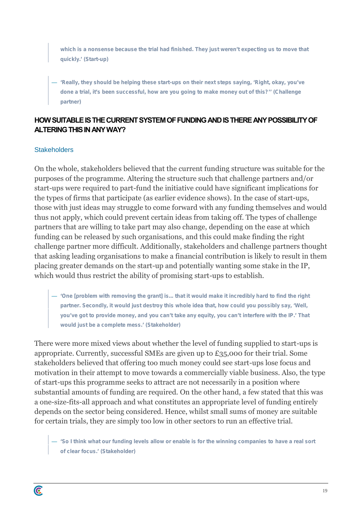**which is a nonsense because the trial had finished. They just weren't expecting us to move that quickly.' (Start-up)**

— **'Really, they should be helping these start-ups on their next steps saying, 'Right, okay, you've done a trial, it's been successful, how are you going to make money out of this?'' (Challenge partner)**

## **HOW SUITABLE IS THECURRENT SYSTEM OF FUNDING AND IS THERE ANY POSSIBILITY OF ALTERING THIS IN ANYWAY?**

## **Stakeholders**

C

On the whole, stakeholders believed that the current funding structure was suitable for the purposes of the programme. Altering the structure such that challenge partners and/or start-ups were required to part-fund the initiative could have significant implications for the types of firms that participate (as earlier evidence shows). In the case of start-ups, those with just ideas may struggle to come forward with any funding themselves and would thus not apply, which could prevent certain ideas from taking off. The types of challenge partners that are willing to take part may also change, depending on the ease at which funding can be released by such organisations, and this could make finding the right challenge partner more difficult. Additionally, stakeholders and challenge partners thought that asking leading organisations to make a financial contribution is likely to result in them placing greater demands on the start-up and potentially wanting some stake in the IP, which would thus restrict the ability of promising start-ups to establish.

— **'One [problem with removing the grant] is... that it would make it incredibly hard to find the right partner. Secondly, it would just destroy this whole idea that, how could you possibly say, 'Well, you've got to provide money, and you can't take any equity, you can't interfere with the IP.' That would just be a complete mess.' (Stakeholder)**

There were more mixed views about whether the level of funding supplied to start-ups is appropriate. Currently, successful SMEs are given up to £35,000 for their trial. Some stakeholders believed that offering too much money could see start-ups lose focus and motivation in their attempt to move towards a commercially viable business. Also, the type of start-ups this programme seeks to attract are not necessarily in a position where substantial amounts of funding are required. On the other hand, a few stated that this was a one-size-fits-all approach and what constitutes an appropriate level of funding entirely depends on the sector being considered. Hence, whilst small sums of money are suitable for certain trials, they are simply too low in other sectors to run an effective trial.

— **'So I think what our funding levels allow or enable is for the winning companies to have a real sort of clear focus.' (Stakeholder)**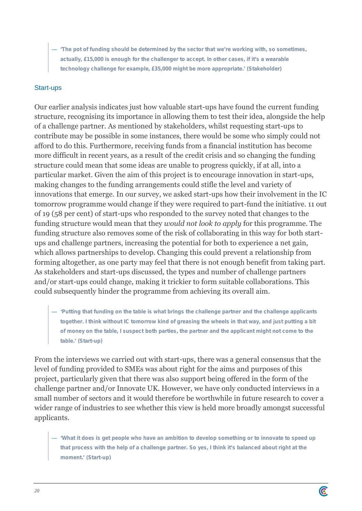— **'The pot of funding should be determined by the sector that we're working with, so sometimes, actually, £15,000 is enough for the challenger to accept. In other cases, if it's a wearable technology challenge for example, £35,000 might be more appropriate.' (Stakeholder)**

## Start-ups

Our earlier analysis indicates just how valuable start-ups have found the current funding structure, recognising its importance in allowing them to test their idea, alongside the help of a challenge partner. As mentioned by stakeholders, whilst requesting start-ups to contribute may be possible in some instances, there would be some who simply could not afford to do this. Furthermore, receiving funds from a financial institution has become more difficult in recent years, as a result of the credit crisis and so changing the funding structure could mean that some ideas are unable to progress quickly, if at all, into a particular market. Given the aim of this project is to encourage innovation in start-ups, making changes to the funding arrangements could stifle the level and variety of innovations that emerge. In our survey, we asked start-ups how their involvement in the IC tomorrow programme would change if they were required to part-fund the initiative. 11 out of 19 (58 per cent) of start-ups who responded to the survey noted that changes to the funding structure would mean that they *would not look to apply* for this programme. The funding structure also removes some of the risk of collaborating in this way for both start ups and challenge partners, increasing the potential for both to experience a net gain, which allows partnerships to develop. Changing this could prevent a relationship from forming altogether, as one party may feel that there is not enough benefit from taking part. As stakeholders and start-ups discussed, the types and number of challenge partners and/or start-ups could change, making it trickier to form suitable collaborations. This could subsequently hinder the programme from achieving its overall aim.

— **'Putting that funding on the table is what brings the challenge partner and the challenge applicants together. I think without IC tomorrow kind of greasing the wheels in that way, and just putting a bit of money on the table, I suspect both parties, the partner and the applicant might not come to the table.' (Start-up)**

From the interviews we carried out with start-ups, there was a general consensus that the level of funding provided to SMEs was about right for the aims and purposes of this project, particularly given that there was also support being offered in the form of the challenge partner and/or Innovate UK. However, we have only conducted interviews in a small number of sectors and it would therefore be worthwhile in future research to cover a wider range of industries to see whether this view is held more broadly amongst successful applicants.

— **'What it does is get people who have an ambition to develop something or to innovate to speed up that process with the help of a challenge partner. So yes, I think it's balanced about right at the moment.' (Start-up)**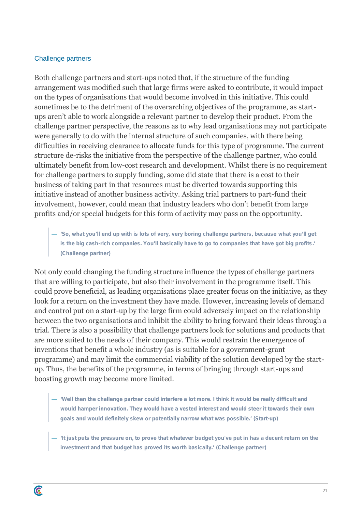#### Challenge partners

C

Both challenge partners and start-ups noted that, if the structure of the funding arrangement was modified such that large firms were asked to contribute, it would impact on the types of organisations that would become involved in this initiative. This could sometimes be to the detriment of the overarching objectives of the programme, as start ups aren't able to work alongside a relevant partner to develop their product. From the challenge partner perspective, the reasons as to why lead organisations may not participate were generally to do with the internal structure of such companies, with there being difficulties in receiving clearance to allocate funds for this type of programme. The current structure de-risks the initiative from the perspective of the challenge partner, who could ultimately benefit from low-cost research and development. Whilst there is no requirement for challenge partners to supply funding, some did state that there is a cost to their business of taking part in that resources must be diverted towards supporting this initiative instead of another business activity. Asking trial partners to part-fund their involvement, however, could mean that industry leaders who don't benefit from large profits and/or special budgets for this form of activity may pass on the opportunity.

— **'So, what you'll end up with is lots of very, very boring challenge partners, because what you'll get is the big cash-rich companies. You'll basically have to go to companies that have got big profits.' (Challenge partner)**

Not only could changing the funding structure influence the types of challenge partners that are willing to participate, but also their involvement in the programme itself. This could prove beneficial, as leading organisations place greater focus on the initiative, as they look for a return on the investment they have made. However, increasing levels of demand and control put on a start-up by the large firm could adversely impact on the relationship between the two organisations and inhibit the ability to bring forward their ideas through a trial. There is also a possibility that challenge partners look for solutions and products that are more suited to the needs of their company. This would restrain the emergence of inventions that benefit a whole industry (as is suitable for a government-grant programme) and may limit the commercial viability of the solution developed by the start up. Thus, the benefits of the programme, in terms of bringing through start-ups and boosting growth may become more limited.

- **'Well then the challenge partner could interfere a lot more. I think it would be really difficult and would hamper innovation. They would have a vested interest and would steer it towards their own goals and would definitely skew or potentially narrow what was possible.' (Start-up)**
- **'It just puts the pressure on, to prove that whatever budget you've put in has a decent return on the investment and that budget has proved its worth basically.' (Challenge partner)**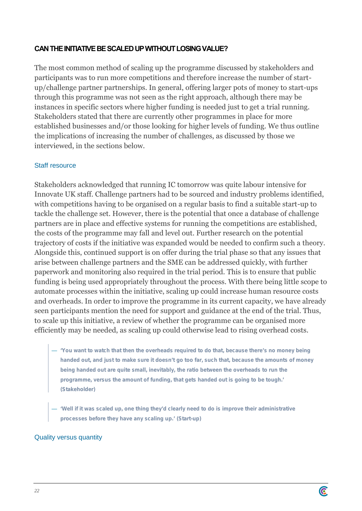## **CAN THE INITIATIVE BE SCALED UPWITHOUT LOSING VALUE?**

The most common method of scaling up the programme discussed by stakeholders and participants was to run more competitions and therefore increase the number of start up/challenge partner partnerships. In general, offering larger pots of money to start-ups through this programme was not seen as the right approach, although there may be instances in specific sectors where higher funding is needed just to get a trial running. Stakeholders stated that there are currently other programmes in place for more established businesses and/or those looking for higher levels of funding. We thus outline the implications of increasing the number of challenges, as discussed by those we interviewed, in the sections below.

## Staff resource

Stakeholders acknowledged that running IC tomorrow was quite labour intensive for Innovate UK staff. Challenge partners had to be sourced and industry problems identified, with competitions having to be organised on a regular basis to find a suitable start-up to tackle the challenge set. However, there is the potential that once a database of challenge partners are in place and effective systems for running the competitions are established, the costs of the programme may fall and level out. Further research on the potential trajectory of costs if the initiative was expanded would be needed to confirm such a theory. Alongside this, continued support is on offer during the trial phase so that any issues that arise between challenge partners and the SME can be addressed quickly, with further paperwork and monitoring also required in the trial period. This is to ensure that public funding is being used appropriately throughout the process. With there being little scope to automate processes within the initiative, scaling up could increase human resource costs and overheads. In order to improve the programme in its current capacity, we have already seen participants mention the need for support and guidance at the end of the trial. Thus, to scale up this initiative, a review of whether the programme can be organised more efficiently may be needed, as scaling up could otherwise lead to rising overhead costs.

- **'You want to watch that then the overheads required to do that, because there's no money being handed out, and just to make sure it doesn't go too far, such that, because the amounts of money being handed out are quite small, inevitably, the ratio between the overheads to run the programme, versus the amount of funding, that gets handed out is going to be tough.' (Stakeholder)**
- **'Well if it was scaled up, one thing they'd clearly need to do is improve their administrative processes before they have any scaling up.' (Start-up)**

## Quality versus quantity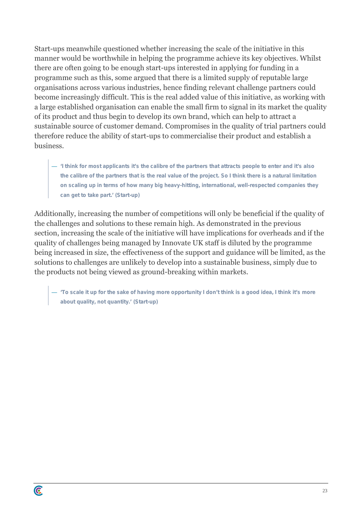Start-ups meanwhile questioned whether increasing the scale of the initiative in this manner would be worthwhile in helping the programme achieve its key objectives. Whilst there are often going to be enough start-ups interested in applying for funding in a programme such as this, some argued that there is a limited supply of reputable large organisations across various industries, hence finding relevant challenge partners could become increasingly difficult. This is the real added value of this initiative, as working with a large established organisation can enable the small firm to signal in its market the quality of its product and thus begin to develop its own brand, which can help to attract a sustainable source of customer demand. Compromises in the quality of trial partners could therefore reduce the ability of start-ups to commercialise their product and establish a business.

— **'I think for most applicants it's the calibre of the partners that attracts people to enter and it's also the calibre of the partners that is the real value of the project. So I think there is a natural limitation on scaling up in terms of how many big heavy-hitting, international, well-respected companies they can get to take part.' (Start-up)**

Additionally, increasing the number of competitions will only be beneficial if the quality of the challenges and solutions to these remain high. As demonstrated in the previous section, increasing the scale of the initiative will have implications for overheads and if the quality of challenges being managed by Innovate UK staff is diluted by the programme being increased in size, the effectiveness of the support and guidance will be limited, as the solutions to challenges are unlikely to develop into a sustainable business, simply due to the products not being viewed as ground-breaking within markets.

— **'To scale it up for the sake of having more opportunity I don't think is a good idea, I think it's more about quality, not quantity.' (Start-up)**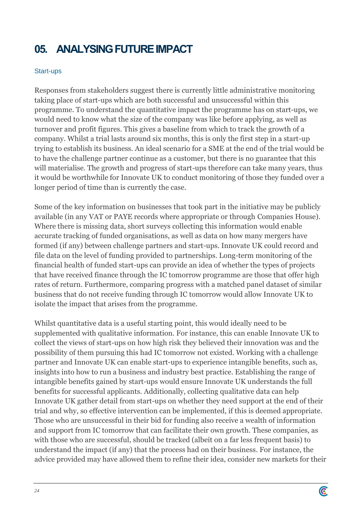# **05. ANALYSING FUTURE IMPACT**

## Start-ups

Responses from stakeholders suggest there is currently little administrative monitoring taking place of start-ups which are both successful and unsuccessful within this programme. To understand the quantitative impact the programme has on start-ups, we would need to know what the size of the company was like before applying, as well as turnover and profit figures. This gives a baseline from which to track the growth of a company. Whilst a trial lasts around six months, this is only the first step in a start-up trying to establish its business. An ideal scenario for a SME at the end of the trial would be to have the challenge partner continue as a customer, but there is no guarantee that this will materialise. The growth and progress of start-ups therefore can take many years, thus it would be worthwhile for Innovate UK to conduct monitoring of those they funded over a longer period of time than is currently the case.

Some of the key information on businesses that took part in the initiative may be publicly available (in any VAT or PAYE records where appropriate or through Companies House). Where there is missing data, short surveys collecting this information would enable accurate tracking of funded organisations, as well as data on how many mergers have formed (if any) between challenge partners and start-ups. Innovate UK could record and file data on the level of funding provided to partnerships. Long-term monitoring of the financial health of funded start-ups can provide an idea of whether the types of projects that have received finance through the IC tomorrow programme are those that offer high rates of return. Furthermore, comparing progress with a matched panel dataset of similar business that do not receive funding through IC tomorrow would allow Innovate UK to isolate the impact that arises from the programme.

Whilst quantitative data is a useful starting point, this would ideally need to be supplemented with qualitative information. For instance, this can enable Innovate UK to collect the views of start-ups on how high risk they believed their innovation was and the possibility of them pursuing this had IC tomorrow not existed. Working with a challenge partner and Innovate UK can enable start-ups to experience intangible benefits, such as, insights into how to run a business and industry best practice. Establishing the range of intangible benefits gained by start-ups would ensure Innovate UK understands the full benefits for successful applicants. Additionally, collecting qualitative data can help Innovate UK gather detail from start-ups on whether they need support at the end of their trial and why, so effective intervention can be implemented, if this is deemed appropriate. Those who are unsuccessful in their bid for funding also receive a wealth of information and support from IC tomorrow that can facilitate their own growth. These companies, as with those who are successful, should be tracked (albeit on a far less frequent basis) to understand the impact (if any) that the process had on their business. For instance, the advice provided may have allowed them to refine their idea, consider new markets for their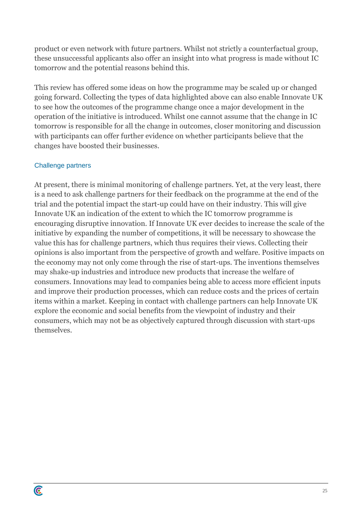product or even network with future partners. Whilst not strictly a counterfactual group, these unsuccessful applicants also offer an insight into what progress is made without IC tomorrow and the potential reasons behind this.

This review has offered some ideas on how the programme may be scaled up or changed going forward. Collecting the types of data highlighted above can also enable Innovate UK to see how the outcomes of the programme change once a major development in the operation of the initiative is introduced. Whilst one cannot assume that the change in IC tomorrow is responsible for all the change in outcomes, closer monitoring and discussion with participants can offer further evidence on whether participants believe that the changes have boosted their businesses.

## Challenge partners

C

At present, there is minimal monitoring of challenge partners. Yet, at the very least, there is a need to ask challenge partners for their feedback on the programme at the end of the trial and the potential impact the start-up could have on their industry. This will give Innovate UK an indication of the extent to which the IC tomorrow programme is encouraging disruptive innovation. If Innovate UK everdecides to increase the scale of the initiative by expanding the number of competitions, it will be necessary to showcase the value this has for challenge partners, which thus requires their views. Collecting their opinions is also important from the perspective of growth and welfare. Positive impacts on the economy may not only come through the rise of start-ups. The inventions themselves may shake-up industries and introduce new products that increase the welfare of consumers. Innovations may lead to companies being able to access more efficient inputs and improve their production processes, which can reduce costs and the prices of certain items within a market. Keeping in contact with challenge partners can help Innovate UK explore the economic and social benefits from the viewpoint of industry and their consumers, which may not be as objectively captured through discussion with start-ups themselves.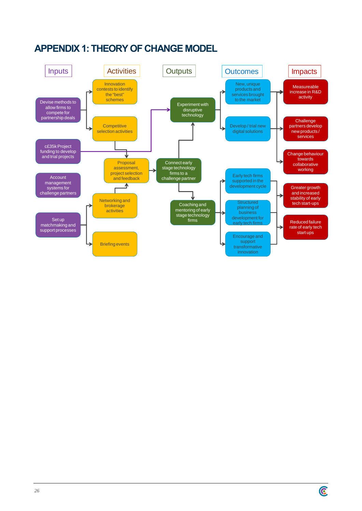

## **APPENDIX 1: THEORY OF CHANGE MODEL**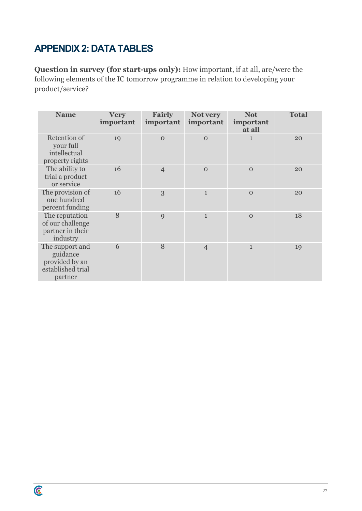# **APPENDIX 2: DATA TABLES**

C

**Question in survey (for start-ups only):** How important, if at all, are/were the following elements of the IC tomorrow programme in relation to developing your product/service?

| <b>Name</b>                                                                   | <b>Very</b><br>important | Fairly<br>important | Not very<br>important | <b>Not</b><br>important<br>at all | <b>Total</b> |
|-------------------------------------------------------------------------------|--------------------------|---------------------|-----------------------|-----------------------------------|--------------|
| Retention of<br>your full<br>intellectual<br>property rights                  | 19                       | $\Omega$            | $\Omega$              | $\mathbf{1}$                      | 20           |
| The ability to<br>trial a product<br>or service                               | 16                       | $\overline{4}$      | $\Omega$              | $\mathbf{O}$                      | 20           |
| The provision of<br>one hundred<br>percent funding                            | 16                       | 3                   | $\mathbf{1}$          | $\Omega$                          | 20           |
| The reputation<br>of our challenge<br>partner in their<br>industry            | 8                        | 9                   | $\mathbf{1}$          | $\Omega$                          | 18           |
| The support and<br>guidance<br>provided by an<br>established trial<br>partner | 6                        | 8                   | $\overline{4}$        | $\mathbf{1}$                      | 19           |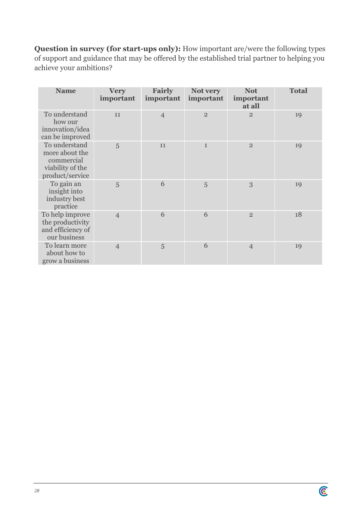**Question in survey (for start-ups only):** How important are/were the following types of support and guidance that may be offered by the established trial partner to helping you achieve your ambitions?

| <b>Name</b>                                                                          | <b>Very</b><br>important | Fairly<br>important | Not very<br>important | <b>Not</b><br>important<br>at all | <b>Total</b> |
|--------------------------------------------------------------------------------------|--------------------------|---------------------|-----------------------|-----------------------------------|--------------|
| To understand<br>how our<br>innovation/idea<br>can be improved                       | 11                       | $\overline{4}$      | $\overline{2}$        | $\overline{2}$                    | 19           |
| To understand<br>more about the<br>commercial<br>viability of the<br>product/service | 5                        | 11                  | $\mathbf{1}$          | $\overline{2}$                    | 19           |
| To gain an<br>insight into<br>industry best<br>practice                              | 5                        | 6                   | 5                     | 3                                 | 19           |
| To help improve<br>the productivity<br>and efficiency of<br>our business             | $\overline{4}$           | 6                   | 6                     | $\overline{2}$                    | 18           |
| To learn more<br>about how to<br>grow a business                                     | $\overline{4}$           | 5                   | 6                     | $\overline{4}$                    | 19           |